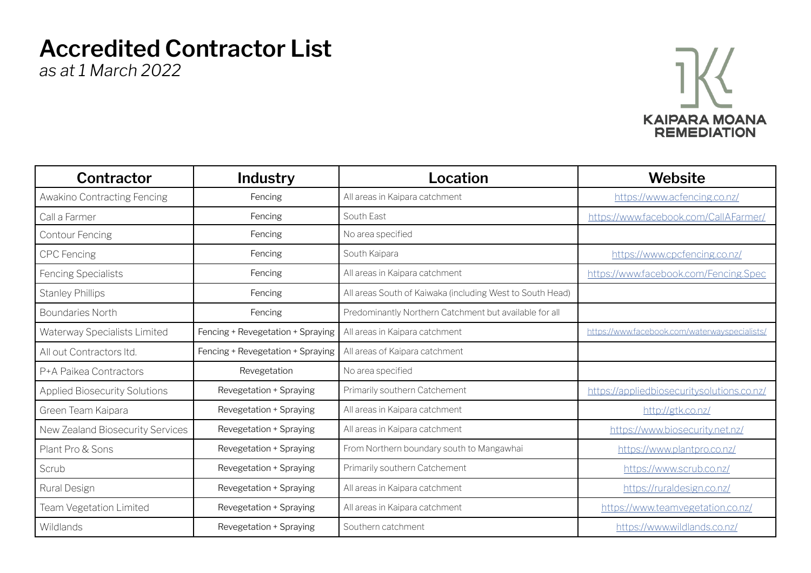## **Accredited Contractor List**

*as at 1 March 2022*



| Contractor                           | Industry                          | Location                                                  | Website                                       |
|--------------------------------------|-----------------------------------|-----------------------------------------------------------|-----------------------------------------------|
| Awakino Contracting Fencing          | Fencing                           | All areas in Kaipara catchment                            | https://www.acfencing.co.nz/                  |
| Call a Farmer                        | Fencing                           | South East                                                | https://www.facebook.com/CallAFarmer/         |
| <b>Contour Fencing</b>               | Fencing                           | No area specified                                         |                                               |
| <b>CPC</b> Fencing                   | Fencing                           | South Kaipara                                             | https://www.cpcfencing.co.nz/                 |
| Fencing Specialists                  | Fencing                           | All areas in Kaipara catchment                            | https://www.facebook.com/Fencing.Spec         |
| <b>Stanley Phillips</b>              | Fencing                           | All areas South of Kaiwaka (including West to South Head) |                                               |
| <b>Boundaries North</b>              | Fencing                           | Predominantly Northern Catchment but available for all    |                                               |
| Waterway Specialists Limited         | Fencing + Revegetation + Spraying | All areas in Kaipara catchment                            | https://www.facebook.com/waterwayspecialists/ |
| All out Contractors Itd.             | Fencing + Revegetation + Spraying | All areas of Kaipara catchment                            |                                               |
| P+A Paikea Contractors               | Revegetation                      | No area specified                                         |                                               |
| <b>Applied Biosecurity Solutions</b> | Revegetation + Spraying           | Primarily southern Catchement                             | https://appliedbiosecuritysolutions.co.nz/    |
| Green Team Kaipara                   | Revegetation + Spraying           | All areas in Kaipara catchment                            | http://gtk.co.nz/                             |
| New Zealand Biosecurity Services     | Revegetation + Spraying           | All areas in Kaipara catchment                            | https://www.biosecurity.net.nz/               |
| Plant Pro & Sons                     | Revegetation + Spraying           | From Northern boundary south to Mangawhai                 | https://www.plantpro.co.nz/                   |
| Scrub                                | Revegetation + Spraying           | Primarily southern Catchement                             | https://www.scrub.co.nz/                      |
| Rural Design                         | Revegetation + Spraying           | All areas in Kaipara catchment                            | https://ruraldesign.co.nz/                    |
| Team Vegetation Limited              | Revegetation + Spraying           | All areas in Kaipara catchment                            | https://www.teamvegetation.co.nz/             |
| Wildlands                            | Revegetation + Spraying           | Southern catchment                                        | https://www.wildlands.co.nz/                  |